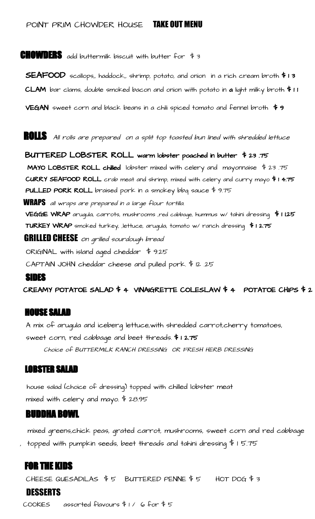# POINT PRIM CHOWDER HOUSE **TAKE OUT MENU**

**CHOWDERS** add buttermilk biscuit with butter for  $\frac{4}{3}$ 

SEAFOOD scallops,, haddock,, shrimp, potato, and onion in a rich cream broth \$ 1 3 CLAM bar clams, double smoked bacon and onion with potato in a light milky broth  $f \in \mathsf{I}$ 

**VEGAN** sweet corn and black beans in a chili spiced tomato and fennel broth  $\frac{4}{9}$ 

**ROLLS** All rolls are prepared on a split top toasted bun lined with shredded lettuce

BUTTERED LOBSTER ROLL warm lobster poached in butter \$ 23 .75 **MAYO LOBSTER ROLL chilled** lobster mixed with celery and mayonnaise  $\frac{4}{3}$  23.75 CURRY SEAFOOD ROLL crab meat and shrimp, mixed with celery and curry mayo \$ 1 4.75 PULLED PORK ROLL braised pork in a smokey bbq sauce \$ 9.75

WRAPS all wraps are prepared in a large flour tortilla. VEGGIE WRAP arugula, carrots, mushrooms ,red cabbage, hummus w/ tahini dressing \$ 1 1.25 TURKEY WRAP smoked turkey, ,lettuce, arugula, tomato w/ ranch dressing \$ 1 2.75 **GRILLED CHEESE** on grilled sourdough bread ORIGINAL with island aged cheddar \$ 9.25

CAPTAIN JOHN cheddar cheese and pulled pork. \$ 12 .25

## SIDES

CREAMY POTATOE SALAD \$ 4 VINAIGRETTE COLESLAW \$ 4 POTATOE CHIPS \$ 2

## HOUSE SALAD

A mix of arugula and iceberg lettuce,with shredded carrot,cherry tomatoes, sweet corn, red cabbage and beet threads. \$ 1 2.75

Choice of BUTTERMILK RANCH DRESSING OR FRESH HERB DRESSING

## LOBSTER SALAD

house salad (choice of dressing) topped with chilled lobster meat mixed with celery and mayo. \$ 28.95

## BUDDHA BOWL

mixed greens,chick peas, grated carrot, mushrooms, sweet corn and red cabbage , topped with pumpkin seeds, beet threads and tahini dressing \$ 1 5.75

# FOR THE KIDS

CHEESE QUESADILAS  $$5$  BUTTERED PENNE  $$5$  HOT DOG  $$3$ 

# DESSERTS

COOKIES assorted flavours \$ 1 / 6 for \$ 5